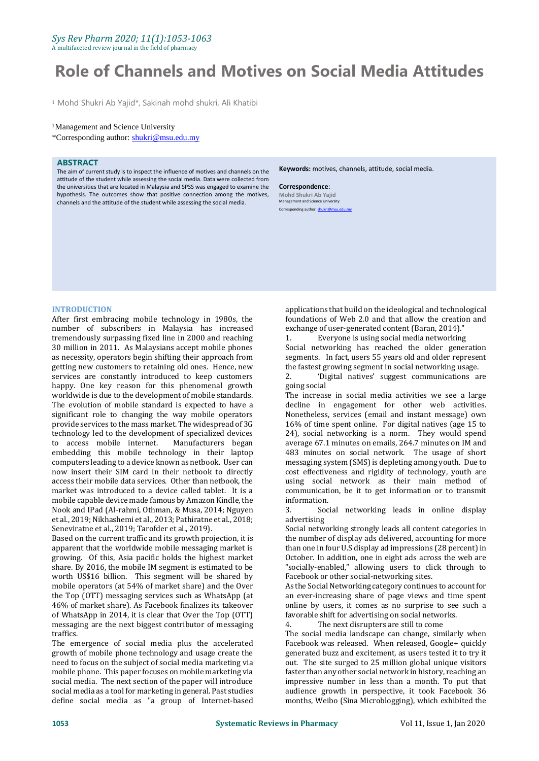# *Sys Rev Pharm 2020; 11(1):1053-1063*

A multifaceted review journal in the field of pharmacy

# **Role of Channels and Motives on Social Media Attitudes**

<sup>1</sup> Mohd Shukri Ab Yajid\*, Sakinah mohd shukri, Ali Khatibi

#### <sup>1</sup>Management and Science University

\*Corresponding author: [shukri@msu.edu.my](mailto:shukri@msu.edu.my)

#### **ABSTRACT**

The aim of current study is to inspect the influence of motives and channels on the attitude of the student while assessing the social media. Data were collected from the universities that are located in Malaysia and SPSS was engaged to examine the hypothesis. The outcomes show that positive connection among the motives, channels and the attitude of the student while assessing the social media.

**Keywords:** motives, channels, attitude, social media.

**Correspondence**: **Mohd Shukri Ab Yajid** Management and Science University Corresponding author[: shukri@msu.edu.my](mailto:shukri@msu.edu.my)

#### **INTRODUCTION**

After first embracing mobile technology in 1980s, the number of subscribers in Malaysia has increased tremendously surpassing fixed line in 2000 and reaching 30 million in 2011. As Malaysians accept mobile phones as necessity, operators begin shifting their approach from getting new customers to retaining old ones. Hence, new services are constantly introduced to keep customers happy. One key reason for this phenomenal growth worldwide is due to the development of mobile standards. The evolution of mobile standard is expected to have a significant role to changing the way mobile operators provide services to the mass market. The widespread of 3G technology led to the development of specialized devices to access mobile internet. Manufacturers began embedding this mobile technology in their laptop computers leading to a device known as netbook. User can now insert their SIM card in their netbook to directly access their mobile data services. Other than netbook, the market was introduced to a device called tablet. It is a mobile capable device made famous by Amazon Kindle, the Nook and IPad (Al-rahmi, Othman, & Musa, 2014; Nguyen et al., 2019; Nikhashemi et al., 2013; Pathiratne et al., 2018; Seneviratne et al., 2019; Tarofder et al., 2019).

Based on the current traffic and its growth projection, it is apparent that the worldwide mobile messaging market is growing. Of this, Asia pacific holds the highest market share. By 2016, the mobile IM segment is estimated to be worth US\$16 billion. This segment will be shared by mobile operators (at 54% of market share) and the Over the Top (OTT) messaging services such as WhatsApp (at 46% of market share). As Facebook finalizes its takeover of WhatsApp in 2014, it is clear that Over the Top (OTT) messaging are the next biggest contributor of messaging traffics.

The emergence of social media plus the accelerated growth of mobile phone technology and usage create the need to focus on the subject of social media marketing via mobile phone. This paper focuses on mobile marketing via social media. The next section of the paper will introduce social media as a tool for marketing in general. Past studies define social media as "a group of Internet-based

applications that build on the ideological and technological foundations of Web 2.0 and that allow the creation and exchange of user-generated content (Baran, 2014)."

1. Everyone is using social media networking Social networking has reached the older generation segments. In fact, users 55 years old and older represent the fastest growing segment in social networking usage.

2. 'Digital natives' suggest communications are going social

The increase in social media activities we see a large decline in engagement for other web activities. Nonetheless, services (email and instant message) own 16% of time spent online. For digital natives (age 15 to 24), social networking is a norm. They would spend average 67.1 minutes on emails, 264.7 minutes on IM and 483 minutes on social network. The usage of short messaging system (SMS) is depleting among youth. Due to cost effectiveness and rigidity of technology, youth are using social network as their main method of communication, be it to get information or to transmit information.

3. Social networking leads in online display advertising

Social networking strongly leads all content categories in the number of display ads delivered, accounting for more than one in four U.S display ad impressions (28 percent) in October. In addition, one in eight ads across the web are "socially-enabled," allowing users to click through to Facebook or other social-networking sites.

As the Social Networking category continues to account for an ever-increasing share of page views and time spent online by users, it comes as no surprise to see such a favorable shift for advertising on social networks.

4. The next disrupters are still to come

The social media landscape can change, similarly when Facebook was released. When released, Google+ quickly generated buzz and excitement, as users tested it to try it out. The site surged to 25 million global unique visitors faster than any other social network in history, reaching an impressive number in less than a month. To put that audience growth in perspective, it took Facebook 36 months, Weibo (Sina Microblogging), which exhibited the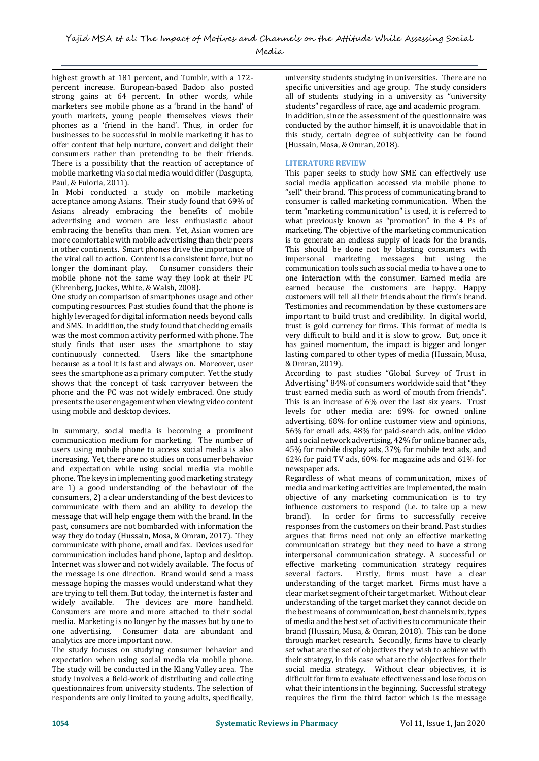highest growth at 181 percent, and Tumblr, with a 172 percent increase. European-based Badoo also posted strong gains at 64 percent. In other words, while marketers see mobile phone as a 'brand in the hand' of youth markets, young people themselves views their phones as a 'friend in the hand'. Thus, in order for businesses to be successful in mobile marketing it has to offer content that help nurture, convert and delight their consumers rather than pretending to be their friends. There is a possibility that the reaction of acceptance of mobile marketing via social media would differ (Dasgupta, Paul, & Fuloria, 2011).

In Mobi conducted a study on mobile marketing acceptance among Asians. Their study found that 69% of Asians already embracing the benefits of mobile advertising and women are less enthusiastic about embracing the benefits than men. Yet, Asian women are more comfortable with mobile advertising than their peers in other continents. Smart phones drive the importance of the viral call to action. Content is a consistent force, but no longer the dominant play. Consumer considers their mobile phone not the same way they look at their PC (Ehrenberg, Juckes, White, & Walsh, 2008).

One study on comparison of smartphones usage and other computing resources. Past studies found that the phone is highly leveraged for digital information needs beyond calls and SMS. In addition, the study found that checking emails was the most common activity performed with phone. The study finds that user uses the smartphone to stay continuously connected. Users like the smartphone because as a tool it is fast and always on. Moreover, user sees the smartphone as a primary computer. Yet the study shows that the concept of task carryover between the phone and the PC was not widely embraced. One study presents the user engagement when viewing video content using mobile and desktop devices.

In summary, social media is becoming a prominent communication medium for marketing. The number of users using mobile phone to access social media is also increasing. Yet, there are no studies on consumer behavior and expectation while using social media via mobile phone. The keys in implementing good marketing strategy are 1) a good understanding of the behaviour of the consumers, 2) a clear understanding of the best devices to communicate with them and an ability to develop the message that will help engage them with the brand. In the past, consumers are not bombarded with information the way they do today (Hussain, Mosa, & Omran, 2017). They communicate with phone, email and fax. Devices used for communication includes hand phone, laptop and desktop. Internet was slower and not widely available. The focus of the message is one direction. Brand would send a mass message hoping the masses would understand what they are trying to tell them. But today, the internet is faster and widely available. The devices are more handheld. Consumers are more and more attached to their social media. Marketing is no longer by the masses but by one to one advertising. Consumer data are abundant and analytics are more important now.

The study focuses on studying consumer behavior and expectation when using social media via mobile phone. The study will be conducted in the Klang Valley area. The study involves a field-work of distributing and collecting questionnaires from university students. The selection of respondents are only limited to young adults, specifically,

university students studying in universities. There are no specific universities and age group. The study considers all of students studying in a university as "university students" regardless of race, age and academic program. In addition, since the assessment of the questionnaire was conducted by the author himself, it is unavoidable that in this study, certain degree of subjectivity can be found (Hussain, Mosa, & Omran, 2018).

#### **LITERATURE REVIEW**

This paper seeks to study how SME can effectively use social media application accessed via mobile phone to "sell" their brand. This process of communicating brand to consumer is called marketing communication. When the term "marketing communication" is used, it is referred to what previously known as "promotion" in the 4 Ps of marketing. The objective of the marketing communication is to generate an endless supply of leads for the brands. This should be done not by blasting consumers with impersonal marketing messages but using the communication tools such as social media to have a one to one interaction with the consumer. Earned media are earned because the customers are happy. Happy customers will tell all their friends about the firm's brand. Testimonies and recommendation by these customers are important to build trust and credibility. In digital world, trust is gold currency for firms. This format of media is very difficult to build and it is slow to grow. But, once it has gained momentum, the impact is bigger and longer lasting compared to other types of media (Hussain, Musa, & Omran, 2019).

According to past studies "Global Survey of Trust in Advertising" 84% of consumers worldwide said that "they trust earned media such as word of mouth from friends". This is an increase of 6% over the last six years. Trust levels for other media are: 69% for owned online advertising, 68% for online customer view and opinions, 56% for email ads, 48% for paid-search ads, online video and social network advertising, 42% for online banner ads, 45% for mobile display ads, 37% for mobile text ads, and 62% for paid TV ads, 60% for magazine ads and 61% for newspaper ads.

Regardless of what means of communication, mixes of media and marketing activities are implemented, the main objective of any marketing communication is to try influence customers to respond (i.e. to take up a new brand). In order for firms to successfully receive responses from the customers on their brand. Past studies argues that firms need not only an effective marketing communication strategy but they need to have a strong interpersonal communication strategy. A successful or effective marketing communication strategy requires several factors. Firstly, firms must have a clear understanding of the target market. Firms must have a clear market segment of their target market. Without clear understanding of the target market they cannot decide on the best means of communication, best channels mix, types of media and the best set of activities to communicate their brand (Hussain, Musa, & Omran, 2018). This can be done through market research. Secondly, firms have to clearly set what are the set of objectives they wish to achieve with their strategy, in this case what are the objectives for their social media strategy. Without clear objectives, it is difficult for firm to evaluate effectiveness and lose focus on what their intentions in the beginning. Successful strategy requires the firm the third factor which is the message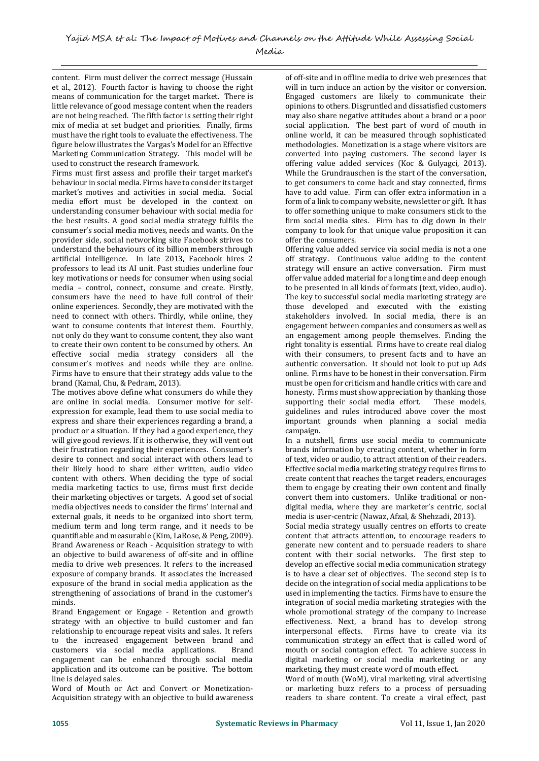content. Firm must deliver the correct message (Hussain et al., 2012). Fourth factor is having to choose the right means of communication for the target market. There is little relevance of good message content when the readers are not being reached. The fifth factor is setting their right mix of media at set budget and priorities. Finally, firms must have the right tools to evaluate the effectiveness. The figure below illustrates the Vargas's Model for an Effective Marketing Communication Strategy. This model will be used to construct the research framework.

Firms must first assess and profile their target market's behaviour in social media. Firms have to consider its target market's motives and activities in social media. Social media effort must be developed in the context on understanding consumer behaviour with social media for the best results. A good social media strategy fulfils the consumer's social media motives, needs and wants. On the provider side, social networking site Facebook strives to understand the behaviours of its billion members through artificial intelligence. In late 2013, Facebook hires 2 professors to lead its AI unit. Past studies underline four key motivations or needs for consumer when using social media – control, connect, consume and create. Firstly, consumers have the need to have full control of their online experiences. Secondly, they are motivated with the need to connect with others. Thirdly, while online, they want to consume contents that interest them. Fourthly, not only do they want to consume content, they also want to create their own content to be consumed by others. An effective social media strategy considers all the consumer's motives and needs while they are online. Firms have to ensure that their strategy adds value to the brand (Kamal, Chu, & Pedram, 2013).

The motives above define what consumers do while they are online in social media. Consumer motive for selfexpression for example, lead them to use social media to express and share their experiences regarding a brand, a product or a situation. If they had a good experience, they will give good reviews. If it is otherwise, they will vent out their frustration regarding their experiences. Consumer's desire to connect and social interact with others lead to their likely hood to share either written, audio video content with others. When deciding the type of social media marketing tactics to use, firms must first decide their marketing objectives or targets. A good set of social media objectives needs to consider the firms' internal and external goals, it needs to be organized into short term, medium term and long term range, and it needs to be quantifiable and measurable (Kim, LaRose, & Peng, 2009). Brand Awareness or Reach - Acquisition strategy to with an objective to build awareness of off-site and in offline media to drive web presences. It refers to the increased exposure of company brands. It associates the increased exposure of the brand in social media application as the strengthening of associations of brand in the customer's minds.

Brand Engagement or Engage - Retention and growth strategy with an objective to build customer and fan relationship to encourage repeat visits and sales. It refers to the increased engagement between brand and customers via social media applications. Brand engagement can be enhanced through social media application and its outcome can be positive. The bottom line is delayed sales.

Word of Mouth or Act and Convert or Monetization-Acquisition strategy with an objective to build awareness

of off-site and in offline media to drive web presences that will in turn induce an action by the visitor or conversion. Engaged customers are likely to communicate their opinions to others. Disgruntled and dissatisfied customers may also share negative attitudes about a brand or a poor social application. The best part of word of mouth in online world, it can be measured through sophisticated methodologies. Monetization is a stage where visitors are converted into paying customers. The second layer is offering value added services (Koc & Gulyagci, 2013). While the Grundrauschen is the start of the conversation, to get consumers to come back and stay connected, firms have to add value. Firm can offer extra information in a form of a link to company website, newsletter or gift. It has to offer something unique to make consumers stick to the firm social media sites. Firm has to dig down in their company to look for that unique value proposition it can offer the consumers.

Offering value added service via social media is not a one off strategy. Continuous value adding to the content strategy will ensure an active conversation. Firm must offer value added material for a long time and deep enough to be presented in all kinds of formats (text, video, audio). The key to successful social media marketing strategy are those developed and executed with the existing stakeholders involved. In social media, there is an engagement between companies and consumers as well as an engagement among people themselves. Finding the right tonality is essential. Firms have to create real dialog with their consumers, to present facts and to have an authentic conversation. It should not look to put up Ads online. Firms have to be honest in their conversation. Firm must be open for criticism and handle critics with care and honesty. Firms must show appreciation by thanking those supporting their social media effort. These models, guidelines and rules introduced above cover the most important grounds when planning a social media campaign.

In a nutshell, firms use social media to communicate brands information by creating content, whether in form of text, video or audio, to attract attention of their readers. Effective social media marketing strategy requires firms to create content that reaches the target readers, encourages them to engage by creating their own content and finally convert them into customers. Unlike traditional or nondigital media, where they are marketer's centric, social media is user-centric (Nawaz, Afzal, & Shehzadi, 2013).

Social media strategy usually centres on efforts to create content that attracts attention, to encourage readers to generate new content and to persuade readers to share content with their social networks. The first step to develop an effective social media communication strategy is to have a clear set of objectives. The second step is to decide on the integration of social media applications to be used in implementing the tactics. Firms have to ensure the integration of social media marketing strategies with the whole promotional strategy of the company to increase effectiveness. Next, a brand has to develop strong interpersonal effects. Firms have to create via its communication strategy an effect that is called word of mouth or social contagion effect. To achieve success in digital marketing or social media marketing or any marketing, they must create word of mouth effect.

Word of mouth (WoM), viral marketing, viral advertising or marketing buzz refers to a process of persuading readers to share content. To create a viral effect, past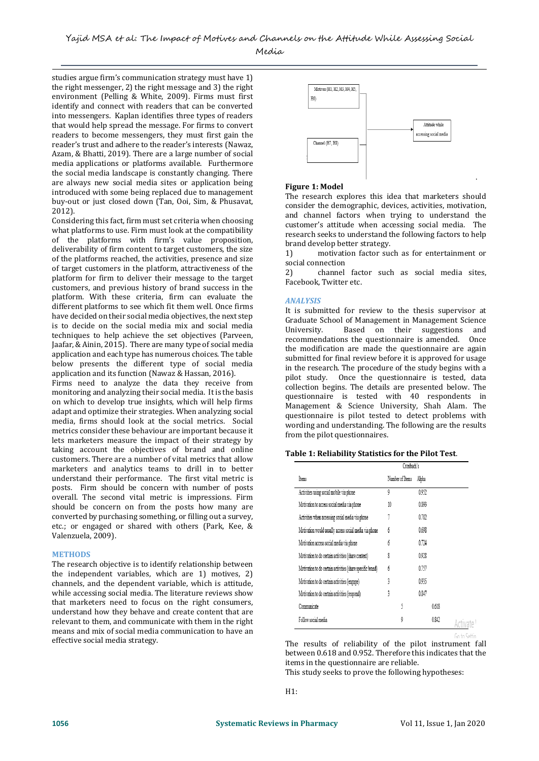studies argue firm's communication strategy must have 1) the right messenger, 2) the right message and 3) the right environment (Pelling & White, 2009). Firms must first identify and connect with readers that can be converted into messengers. Kaplan identifies three types of readers that would help spread the message. For firms to convert readers to become messengers, they must first gain the reader's trust and adhere to the reader's interests (Nawaz, Azam, & Bhatti, 2019). There are a large number of social media applications or platforms available. Furthermore the social media landscape is constantly changing. There are always new social media sites or application being introduced with some being replaced due to management buy-out or just closed down (Tan, Ooi, Sim, & Phusavat, 2012).

Considering this fact, firm must set criteria when choosing what platforms to use. Firm must look at the compatibility of the platforms with firm's value proposition, deliverability of firm content to target customers, the size of the platforms reached, the activities, presence and size of target customers in the platform, attractiveness of the platform for firm to deliver their message to the target customers, and previous history of brand success in the platform. With these criteria, firm can evaluate the different platforms to see which fit them well. Once firms have decided on their social media objectives, the next step is to decide on the social media mix and social media techniques to help achieve the set objectives (Parveen, Jaafar, & Ainin, 2015). There are many type of social media application and each type has numerous choices. The table below presents the different type of social media application and its function (Nawaz & Hassan, 2016).

Firms need to analyze the data they receive from monitoring and analyzing their social media. It is the basis on which to develop true insights, which will help firms adapt and optimize their strategies. When analyzing social media, firms should look at the social metrics. Social metrics consider these behaviour are important because it lets marketers measure the impact of their strategy by taking account the objectives of brand and online customers. There are a number of vital metrics that allow marketers and analytics teams to drill in to better understand their performance. The first vital metric is posts. Firm should be concern with number of posts overall. The second vital metric is impressions. Firm should be concern on from the posts how many are converted by purchasing something, or filling out a survey, etc.; or engaged or shared with others (Park, Kee, & Valenzuela, 2009).

#### **METHODS**

The research objective is to identify relationship between the independent variables, which are 1) motives, 2) channels, and the dependent variable, which is attitude, while accessing social media. The literature reviews show that marketers need to focus on the right consumers, understand how they behave and create content that are relevant to them, and communicate with them in the right means and mix of social media communication to have an effective social media strategy.



#### **Figure 1: Model**

The research explores this idea that marketers should consider the demographic, devices, activities, motivation, and channel factors when trying to understand the customer's attitude when accessing social media. The research seeks to understand the following factors to help brand develop better strategy.

.

1) motivation factor such as for entertainment or social connection

2) channel factor such as social media sites, Facebook, Twitter etc.

#### *ANALYSIS*

It is submitted for review to the thesis supervisor at Graduate School of Management in Management Science University. Based on their suggestions and recommendations the questionnaire is amended. Once the modification are made the questionnaire are again submitted for final review before it is approved for usage in the research. The procedure of the study begins with a pilot study. Once the questionnaire is tested, data collection begins. The details are presented below. The questionnaire is tested with 40 respondents in Management & Science University, Shah Alam. The questionnaire is pilot tested to detect problems with wording and understanding. The following are the results from the pilot questionnaires.

#### **Table 1: Reliability Statistics for the Pilot Test**.

|                                                            | Cronbach's      |       |  |
|------------------------------------------------------------|-----------------|-------|--|
| Items                                                      | Number of Items | Alpha |  |
| Activities using social mobile via phone                   | 9               | 0.952 |  |
| Motivation to access social media via phone                | 10              | 0.893 |  |
| Activities when accessing social media via phone           |                 | 0.782 |  |
| Motivation would usually access social media via phone     | 6               | 0.698 |  |
| Motivation access social media via phone                   | 6               | 0.724 |  |
| Motivation to do certain activities (share content)        | 8               | 0.928 |  |
| Motivation to do certain activities (share specific brand) | 6               | 0.757 |  |
| Motivation to do certain activities (engage)               | 3               | 0.935 |  |
| Motivation to do certain activities (respond)              | 3               | 0.847 |  |
| Communicate                                                | ĵ               | 0.618 |  |
| Follow social media                                        | 9               | 0.842 |  |

The results of reliability of the pilot instrument fall between 0.618 and 0.952. Therefore this indicates that the items in the questionnaire are reliable. This study seeks to prove the following hypotheses:

 $H1$ 

 $C_0$  to  $C_0$ ttia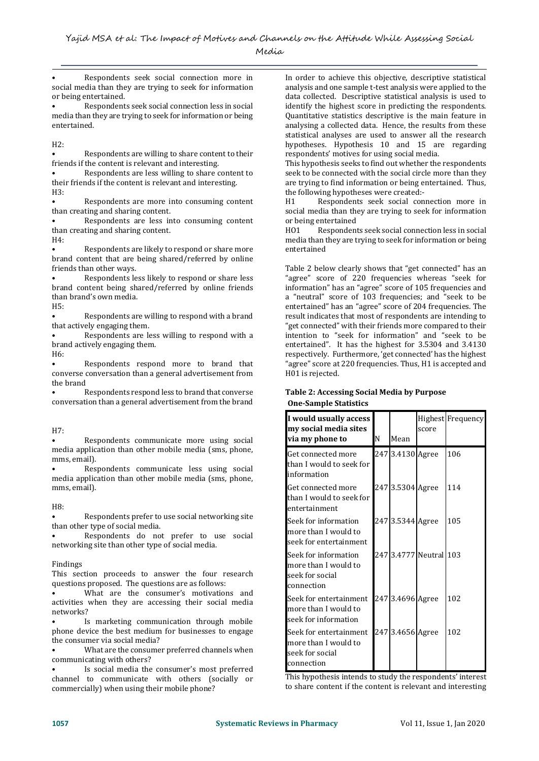• Respondents seek social connection more in social media than they are trying to seek for information or being entertained.

• Respondents seek social connection less in social media than they are trying to seek for information or being entertained.

#### H2:

• Respondents are willing to share content to their friends if the content is relevant and interesting.

• Respondents are less willing to share content to their friends if the content is relevant and interesting. H3:

• Respondents are more into consuming content than creating and sharing content.

• Respondents are less into consuming content than creating and sharing content.  $H4:$ 

Respondents are likely to respond or share more brand content that are being shared/referred by online friends than other ways.

Respondents less likely to respond or share less brand content being shared/referred by online friends than brand's own media.

H5:

Respondents are willing to respond with a brand that actively engaging them.

• Respondents are less willing to respond with a brand actively engaging them.

H6:

• Respondents respond more to brand that converse conversation than a general advertisement from the brand

• Respondents respond less to brand that converse conversation than a general advertisement from the brand

# H7:

Respondents communicate more using social media application than other mobile media (sms, phone, mms, email).

Respondents communicate less using social media application than other mobile media (sms, phone, mms, email).

# H8:

• Respondents prefer to use social networking site than other type of social media.

• Respondents do not prefer to use social networking site than other type of social media.

# Findings

This section proceeds to answer the four research questions proposed. The questions are as follows:

What are the consumer's motivations and activities when they are accessing their social media networks?

Is marketing communication through mobile phone device the best medium for businesses to engage the consumer via social media?

• What are the consumer preferred channels when communicating with others?

Is social media the consumer's most preferred channel to communicate with others (socially or commercially) when using their mobile phone?

In order to achieve this objective, descriptive statistical analysis and one sample t-test analysis were applied to the data collected. Descriptive statistical analysis is used to identify the highest score in predicting the respondents. Quantitative statistics descriptive is the main feature in analysing a collected data. Hence, the results from these statistical analyses are used to answer all the research hypotheses. Hypothesis 10 and 15 are regarding respondents' motives for using social media.

This hypothesis seeks to find out whether the respondents seek to be connected with the social circle more than they are trying to find information or being entertained. Thus, the following hypotheses were created:-

H1 Respondents seek social connection more in social media than they are trying to seek for information or being entertained

HO1 Respondents seek social connection less in social media than they are trying to seek for information or being entertained

Table 2 below clearly shows that "get connected" has an "agree" score of 220 frequencies whereas "seek for information" has an "agree" score of 105 frequencies and a "neutral" score of 103 frequencies; and "seek to be entertained" has an "agree" score of 204 frequencies. The result indicates that most of respondents are intending to "get connected" with their friends more compared to their intention to "seek for information" and "seek to be entertained". It has the highest for 3.5304 and 3.4130 respectively. Furthermore, 'get connected' has the highest "agree" score at 220 frequencies. Thus, H1 is accepted and H01 is rejected.

#### **Table 2: Accessing Social Media by Purpose One-Sample Statistics**

| I would usually access<br>my social media sites<br>via my phone to              | N | Mean             | score                  | <b>Highest</b> Frequency |
|---------------------------------------------------------------------------------|---|------------------|------------------------|--------------------------|
| Get connected more<br>than I would to seek for<br>information                   |   | 247 3.4130 Agree |                        | 106                      |
| Get connected more<br>than I would to seek for<br>entertainment                 |   | 247 3.5304 Agree |                        | 114                      |
| Seek for information<br>more than I would to<br>seek for entertainment          |   | 247 3.5344 Agree |                        | 105                      |
| Seek for information<br>more than I would to<br>seek for social<br>connection   |   |                  | 247 3.4777 Neutral 103 |                          |
| Seek for entertainment<br>more than I would to<br>seek for information          |   | 247 3.4696 Agree |                        | 102                      |
| Seek for entertainment<br>more than I would to<br>seek for social<br>connection |   | 247 3.4656 Agree |                        | 102                      |

This hypothesis intends to study the respondents' interest to share content if the content is relevant and interesting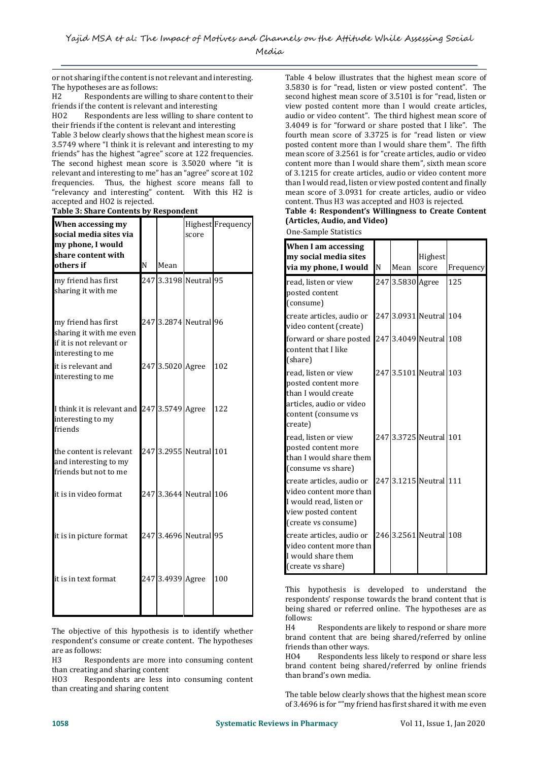or not sharing if the content is not relevant and interesting. The hypotheses are as follows:

H2 Respondents are willing to share content to their friends if the content is relevant and interesting

HO2 Respondents are less willing to share content to their friends if the content is relevant and interesting

Table 3 below clearly shows that the highest mean score is 3.5749 where "I think it is relevant and interesting to my friends" has the highest "agree" score at 122 frequencies. The second highest mean score is 3.5020 where "it is relevant and interesting to me" has an "agree" score at 102 frequencies. Thus, the highest score means fall to "relevancy and interesting" content. With this H2 is accepted and HO2 is rejected.

| Table 5. Share contents by Respondent                                      |   |                  |                        |                   |
|----------------------------------------------------------------------------|---|------------------|------------------------|-------------------|
| When accessing my                                                          |   |                  |                        | Highest Frequency |
| social media sites via                                                     |   |                  | score                  |                   |
| my phone, I would                                                          |   |                  |                        |                   |
| share content with                                                         |   |                  |                        |                   |
| others if                                                                  | N | Mean             |                        |                   |
| my friend has first<br>sharing it with me                                  |   |                  | 247 3.3198 Neutral 95  |                   |
| my friend has first<br>sharing it with me even<br>if it is not relevant or |   |                  | 247 3.2874 Neutral 96  |                   |
| interesting to me<br>it is relevant and<br>interesting to me               |   | 247 3.5020 Agree |                        | 102               |
| I think it is relevant and<br>interesting to my<br>friends                 |   | 247 3.5749 Agree |                        | 122               |
| the content is relevant<br>and interesting to my<br>friends but not to me  |   |                  | 247 3.2955 Neutral 101 |                   |
| it is in video format                                                      |   |                  | 247 3.3644 Neutral 106 |                   |
| it is in picture format                                                    |   |                  | 247 3.4696 Neutral 95  |                   |
| it is in text format                                                       |   | 247 3.4939 Agree |                        | 100               |
|                                                                            |   |                  |                        |                   |

**Table 3: Share Contents by Respondent**

The objective of this hypothesis is to identify whether respondent's consume or create content. The hypotheses are as follows:

H3 Respondents are more into consuming content than creating and sharing content

HO3 Respondents are less into consuming content than creating and sharing content

Table 4 below illustrates that the highest mean score of 3.5830 is for "read, listen or view posted content". The second highest mean score of 3.5101 is for "read, listen or view posted content more than I would create articles, audio or video content". The third highest mean score of 3.4049 is for "forward or share posted that I like". The fourth mean score of 3.3725 is for "read listen or view posted content more than I would share them". The fifth mean score of 3.2561 is for "create articles, audio or video content more than I would share them", sixth mean score of 3.1215 for create articles, audio or video content more than I would read, listen or view posted content and finally mean score of 3.0931 for create articles, audio or video content. Thus H3 was accepted and HO3 is rejected.

#### **Table 4: Respondent's Willingness to Create Content (Articles, Audio, and Video)**

One-Sample Statistics

| <b>When I am accessing</b><br>my social media sites<br>via my phone, I would                                                     | N | Mean             | Highest<br>score       | Frequency |
|----------------------------------------------------------------------------------------------------------------------------------|---|------------------|------------------------|-----------|
| read, listen or view<br>posted content<br>(consume)                                                                              |   | 247 3.5830 Agree |                        | 125       |
| create articles, audio or<br>video content (create)                                                                              |   |                  | 247 3.0931 Neutral 104 |           |
| forward or share posted<br>content that I like<br>(share)                                                                        |   |                  | 247 3.4049 Neutral 108 |           |
| read, listen or view<br>posted content more<br>than I would create<br>articles, audio or video<br>content (consume vs<br>create) |   |                  | 247 3.5101 Neutral 103 |           |
| read, listen or view<br>posted content more<br>than I would share them<br>(consume vs share)                                     |   |                  | 247 3.3725 Neutral 101 |           |
| create articles, audio or<br>video content more than<br>I would read, listen or<br>view posted content<br>(create vs consume)    |   |                  | 247 3.1215 Neutral 111 |           |
| create articles, audio or<br>video content more than<br>I would share them<br>(create vs share)                                  |   |                  | 246 3.2561 Neutral 108 |           |

This hypothesis is developed to understand the respondents' response towards the brand content that is being shared or referred online. The hypotheses are as follows:

H4 Respondents are likely to respond or share more brand content that are being shared/referred by online friends than other ways.

HO4 Respondents less likely to respond or share less brand content being shared/referred by online friends than brand's own media.

The table below clearly shows that the highest mean score of 3.4696 is for ""my friend has first shared it with me even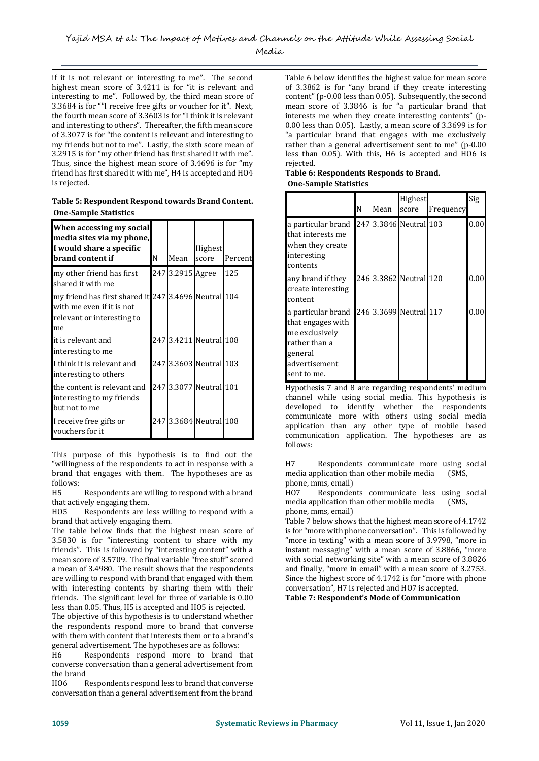if it is not relevant or interesting to me". The second highest mean score of 3.4211 is for "it is relevant and interesting to me". Followed by, the third mean score of 3.3684 is for ""I receive free gifts or voucher for it". Next, the fourth mean score of 3.3603 is for "I think it is relevant and interesting to others". Thereafter, the fifth mean score of 3.3077 is for "the content is relevant and interesting to my friends but not to me". Lastly, the sixth score mean of 3.2915 is for "my other friend has first shared it with me". Thus, since the highest mean score of 3.4696 is for "my friend has first shared it with me", H4 is accepted and HO4 is rejected.

**Table 5: Respondent Respond towards Brand Content. One-Sample Statistics**

| When accessing my social<br>media sites via my phone,<br>I would share a specific<br>brand content if                 | N | Mean             | Highest<br>score       | Percent |
|-----------------------------------------------------------------------------------------------------------------------|---|------------------|------------------------|---------|
| my other friend has first<br>shared it with me                                                                        |   | 247 3.2915 Agree |                        | 125     |
| my friend has first shared it 247 3.4696 Neutral 104<br>with me even if it is not<br>relevant or interesting to<br>me |   |                  |                        |         |
| it is relevant and<br>interesting to me                                                                               |   |                  | 247 3.4211 Neutral 108 |         |
| I think it is relevant and<br>interesting to others                                                                   |   |                  | 247 3.3603 Neutral 103 |         |
| the content is relevant and<br>interesting to my friends<br>but not to me                                             |   |                  | 247 3.3077 Neutral 101 |         |
| I receive free gifts or<br>vouchers for it                                                                            |   |                  | 247 3.3684 Neutral 108 |         |

This purpose of this hypothesis is to find out the "willingness of the respondents to act in response with a brand that engages with them. The hypotheses are as follows:

H5 Respondents are willing to respond with a brand that actively engaging them.

HO5 Respondents are less willing to respond with a brand that actively engaging them.

The table below finds that the highest mean score of 3.5830 is for "interesting content to share with my friends". This is followed by "interesting content" with a mean score of 3.5709. The final variable "free stuff" scored a mean of 3.4980. The result shows that the respondents are willing to respond with brand that engaged with them with interesting contents by sharing them with their friends. The significant level for three of variable is 0.00 less than 0.05. Thus, H5 is accepted and HO5 is rejected.

The objective of this hypothesis is to understand whether the respondents respond more to brand that converse with them with content that interests them or to a brand's general advertisement. The hypotheses are as follows:

H6 Respondents respond more to brand that converse conversation than a general advertisement from the brand

HO6 Respondents respond less to brand that converse conversation than a general advertisement from the brand Table 6 below identifies the highest value for mean score of 3.3862 is for "any brand if they create interesting content" (p-0.00 less than 0.05). Subsequently, the second mean score of 3.3846 is for "a particular brand that interests me when they create interesting contents" (p-0.00 less than 0.05). Lastly, a mean score of 3.3699 is for "a particular brand that engages with me exclusively rather than a general advertisement sent to me" (p-0.00 less than 0.05). With this, H6 is accepted and HO6 is rejected.

**Table 6: Respondents Responds to Brand. One-Sample Statistics**

|                                                                                                                       | N | Mean | Highest<br>score       | Frequency | Sig  |
|-----------------------------------------------------------------------------------------------------------------------|---|------|------------------------|-----------|------|
| a particular brand<br>that interests me<br>when they create<br>interesting<br>contents                                |   |      | 247 3.3846 Neutral 103 |           | 0.00 |
| any brand if they<br>create interesting<br>content                                                                    |   |      | 246 3.3862 Neutral 120 |           | 0.00 |
| a particular brand<br>that engages with<br>me exclusively<br>rather than a<br>general<br>advertisement<br>sent to me. |   |      | 246 3.3699 Neutral 117 |           | 0.00 |

Hypothesis 7 and 8 are regarding respondents' medium channel while using social media. This hypothesis is developed to identify whether the respondents communicate more with others using social media application than any other type of mobile based communication application. The hypotheses are as follows:

H7 Respondents communicate more using social media application than other mobile media (SMS, phone, mms, email)

HO7 Respondents communicate less using social media application than other mobile media (SMS, phone, mms, email)

Table 7 below shows that the highest mean score of 4.1742 is for "more with phone conversation". This is followed by "more in texting" with a mean score of 3.9798, "more in instant messaging" with a mean score of 3.8866, "more with social networking site" with a mean score of 3.8826 and finally, "more in email" with a mean score of 3.2753. Since the highest score of 4.1742 is for "more with phone conversation", H7 is rejected and HO7 is accepted.

**Table 7: Respondent's Mode of Communication**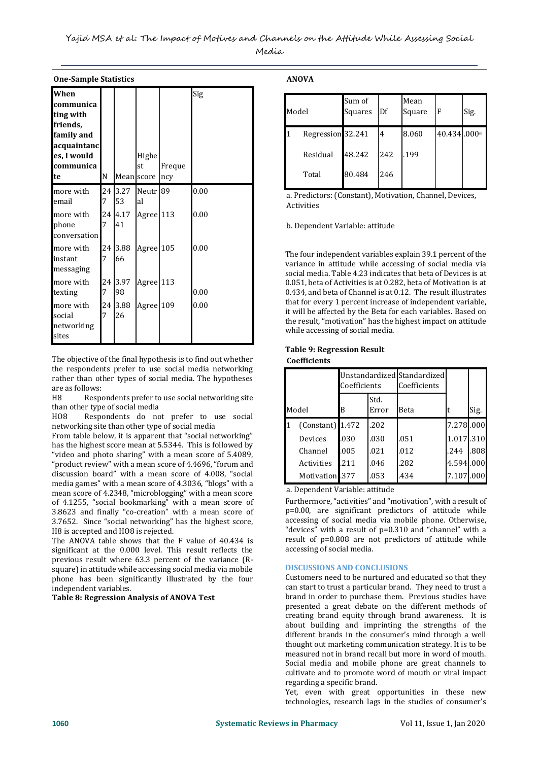|                                                                                                           | <b>One-Sample Statistics</b> |                             |                                         |               |              |  |  |
|-----------------------------------------------------------------------------------------------------------|------------------------------|-----------------------------|-----------------------------------------|---------------|--------------|--|--|
| When<br>communica<br>ting with<br>friends,<br>family and<br>acquaintanc<br>es, I would<br>communica<br>te | N                            |                             | Highe<br>st<br>Mean score               | Freque<br>ncy | Sig          |  |  |
| more with<br>email<br>more with<br>phone<br>conversation                                                  | 7<br>24 I<br>7               | 24 3.27<br>53<br>4.17<br>41 | Neutr <sub>189</sub><br>al<br>Agree 113 |               | 0.00<br>0.00 |  |  |
| more with<br>instant<br>messaging<br>more with                                                            | 24 I<br>7<br>24 I            | 3.88<br>66<br>3.97          | Agree 105<br>Agree 113                  |               | 0.00         |  |  |
| texting<br>more with<br>social<br>networking<br>sites                                                     | 7<br>24  <br>7               | 98<br>3.88<br>26            | Agree 109                               |               | 0.00<br>0.00 |  |  |

The objective of the final hypothesis is to find out whether the respondents prefer to use social media networking rather than other types of social media. The hypotheses are as follows:

H8 Respondents prefer to use social networking site than other type of social media

HO8 Respondents do not prefer to use social networking site than other type of social media

From table below, it is apparent that "social networking" has the highest score mean at 5.5344. This is followed by "video and photo sharing" with a mean score of 5.4089, "product review" with a mean score of 4.4696, "forum and discussion board" with a mean score of 4.008, "social media games" with a mean score of 4.3036, "blogs" with a mean score of 4.2348, "microblogging" with a mean score of 4.1255, "social bookmarking" with a mean score of 3.8623 and finally "co-creation" with a mean score of 3.7652. Since "social networking" has the highest score, H8 is accepted and HO8 is rejected.

The ANOVA table shows that the F value of 40.434 is significant at the 0.000 level. This result reflects the previous result where 63.3 percent of the variance (Rsquare) in attitude while accessing social media via mobile phone has been significantly illustrated by the four independent variables.

#### **Table 8: Regression Analysis of ANOVA Test**

**ANOVA**

| Model |                   | Sum of<br>Squares | Df  | Mean<br>Square | F           | Sig. |
|-------|-------------------|-------------------|-----|----------------|-------------|------|
| 1     | Regression 32.241 |                   | 4   | 8.060          | 40.434.000a |      |
|       | Residual          | 48.242            | 242 | .199           |             |      |
|       | Total             | 80.484            | 246 |                |             |      |

a. Predictors: (Constant), Motivation, Channel, Devices, Activities

b. Dependent Variable: attitude

The four independent variables explain 39.1 percent of the variance in attitude while accessing of social media via social media. Table 4.23 indicates that beta of Devices is at 0.051, beta of Activities is at 0.282, beta of Motivation is at 0.434, and beta of Channel is at 0.12. The result illustrates that for every 1 percent increase of independent variable, it will be affected by the Beta for each variables. Based on the result, "motivation" has the highest impact on attitude while accessing of social media.

# **Table 9: Regression Result**

**Coefficients**

|                    | Unstandardized Standardized<br>Coefficients |               | Coefficients |           |      |
|--------------------|---------------------------------------------|---------------|--------------|-----------|------|
| Model              | B                                           | Std.<br>Error | Beta         |           | Sig. |
| $(Constant)$ 1.472 |                                             | .202          |              | 7.278.000 |      |
| Devices            | .030                                        | .030          | .051         | 1.017.310 |      |
| Channel            | .005                                        | .021          | .012         | .244      | .808 |
| Activities         | .211                                        | .046          | .282         | 4.594.000 |      |
| Motivation .377    |                                             | .053          | .434         | 7.107.000 |      |

a. Dependent Variable: attitude

Furthermore, "activities" and "motivation", with a result of p=0.00, are significant predictors of attitude while accessing of social media via mobile phone. Otherwise, "devices" with a result of p=0.310 and "channel" with a result of p=0.808 are not predictors of attitude while accessing of social media.

#### **DISCUSSIONS AND CONCLUSIONS**

Customers need to be nurtured and educated so that they can start to trust a particular brand. They need to trust a brand in order to purchase them. Previous studies have presented a great debate on the different methods of creating brand equity through brand awareness. It is about building and imprinting the strengths of the different brands in the consumer's mind through a well thought out marketing communication strategy. It is to be measured not in brand recall but more in word of mouth. Social media and mobile phone are great channels to cultivate and to promote word of mouth or viral impact regarding a specific brand.

Yet, even with great opportunities in these new technologies, research lags in the studies of consumer's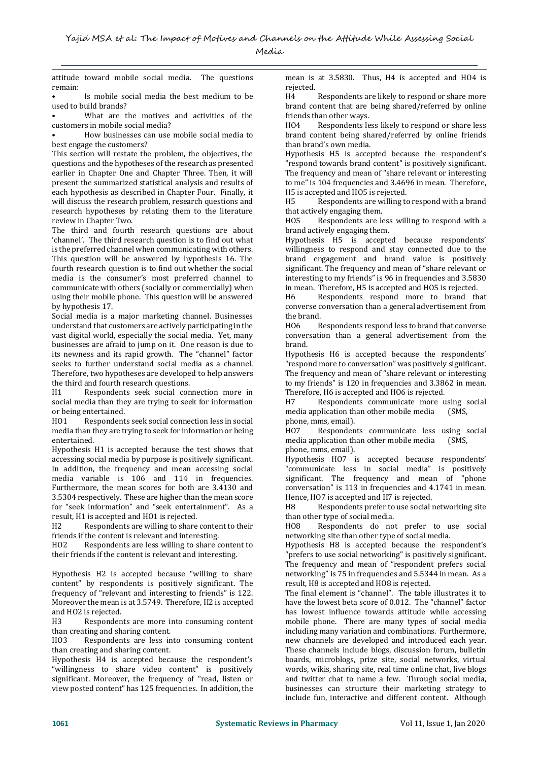attitude toward mobile social media. The questions remain:

• Is mobile social media the best medium to be used to build brands?

What are the motives and activities of the customers in mobile social media?

• How businesses can use mobile social media to best engage the customers?

This section will restate the problem, the objectives, the questions and the hypotheses of the research as presented earlier in Chapter One and Chapter Three. Then, it will present the summarized statistical analysis and results of each hypothesis as described in Chapter Four. Finally, it will discuss the research problem, research questions and research hypotheses by relating them to the literature review in Chapter Two.

The third and fourth research questions are about 'channel'. The third research question is to find out what is the preferred channel when communicating with others. This question will be answered by hypothesis 16. The fourth research question is to find out whether the social media is the consumer's most preferred channel to communicate with others (socially or commercially) when using their mobile phone. This question will be answered by hypothesis 17.

Social media is a major marketing channel. Businesses understand that customers are actively participating in the vast digital world, especially the social media. Yet, many businesses are afraid to jump on it. One reason is due to its newness and its rapid growth. The "channel" factor seeks to further understand social media as a channel. Therefore, two hypotheses are developed to help answers the third and fourth research questions.

H1 Respondents seek social connection more in social media than they are trying to seek for information or being entertained.

HO1 Respondents seek social connection less in social media than they are trying to seek for information or being entertained.

Hypothesis H1 is accepted because the test shows that accessing social media by purpose is positively significant. In addition, the frequency and mean accessing social media variable is 106 and 114 in frequencies. Furthermore, the mean scores for both are 3.4130 and 3.5304 respectively. These are higher than the mean score for "seek information" and "seek entertainment". As a result, H1 is accepted and HO1 is rejected.

H2 Respondents are willing to share content to their friends if the content is relevant and interesting.

HO2 Respondents are less willing to share content to their friends if the content is relevant and interesting.

Hypothesis H2 is accepted because "willing to share content" by respondents is positively significant. The frequency of "relevant and interesting to friends" is 122. Moreover the mean is at 3.5749. Therefore, H2 is accepted and HO2 is rejected.

H3 Respondents are more into consuming content than creating and sharing content.

HO3 Respondents are less into consuming content than creating and sharing content.

Hypothesis H4 is accepted because the respondent's "willingness to share video content" is positively significant. Moreover, the frequency of "read, listen or view posted content" has 125 frequencies. In addition, the mean is at 3.5830. Thus, H4 is accepted and HO4 is rejected.

H4 Respondents are likely to respond or share more brand content that are being shared/referred by online friends than other ways.

HO4 Respondents less likely to respond or share less brand content being shared/referred by online friends than brand's own media.

Hypothesis H5 is accepted because the respondent's "respond towards brand content" is positively significant. The frequency and mean of "share relevant or interesting to me" is 104 frequencies and 3.4696 in mean. Therefore, H5 is accepted and HO5 is rejected.

H5 Respondents are willing to respond with a brand that actively engaging them.

HO5 Respondents are less willing to respond with a brand actively engaging them.

Hypothesis H5 is accepted because respondents' willingness to respond and stay connected due to the brand engagement and brand value is positively significant. The frequency and mean of "share relevant or interesting to my friends" is 96 in frequencies and 3.5830 in mean. Therefore, H5 is accepted and HO5 is rejected.

H6 Respondents respond more to brand that converse conversation than a general advertisement from the brand.

HO6 Respondents respond less to brand that converse conversation than a general advertisement from the brand.

Hypothesis H6 is accepted because the respondents' "respond more to conversation" was positively significant. The frequency and mean of "share relevant or interesting to my friends" is 120 in frequencies and 3.3862 in mean. Therefore, H6 is accepted and HO6 is rejected.

H7 Respondents communicate more using social media application than other mobile media (SMS, phone, mms, email).

HO7 Respondents communicate less using social media application than other mobile media (SMS, phone, mms, email).

Hypothesis HO7 is accepted because respondents' "communicate less in social media" is positively significant. The frequency and mean of "phone conversation" is 113 in frequencies and 4.1741 in mean. Hence, HO7 is accepted and H7 is rejected.

H8 Respondents prefer to use social networking site than other type of social media.

HO8 Respondents do not prefer to use social networking site than other type of social media.

Hypothesis H8 is accepted because the respondent's "prefers to use social networking" is positively significant. The frequency and mean of "respondent prefers social networking" is 75 in frequencies and 5.5344 in mean. As a result, H8 is accepted and HO8 is rejected.

The final element is "channel". The table illustrates it to have the lowest beta score of 0.012. The "channel" factor has lowest influence towards attitude while accessing mobile phone. There are many types of social media including many variation and combinations. Furthermore, new channels are developed and introduced each year. These channels include blogs, discussion forum, bulletin boards, microblogs, prize site, social networks, virtual words, wikis, sharing site, real time online chat, live blogs and twitter chat to name a few. Through social media, businesses can structure their marketing strategy to include fun, interactive and different content. Although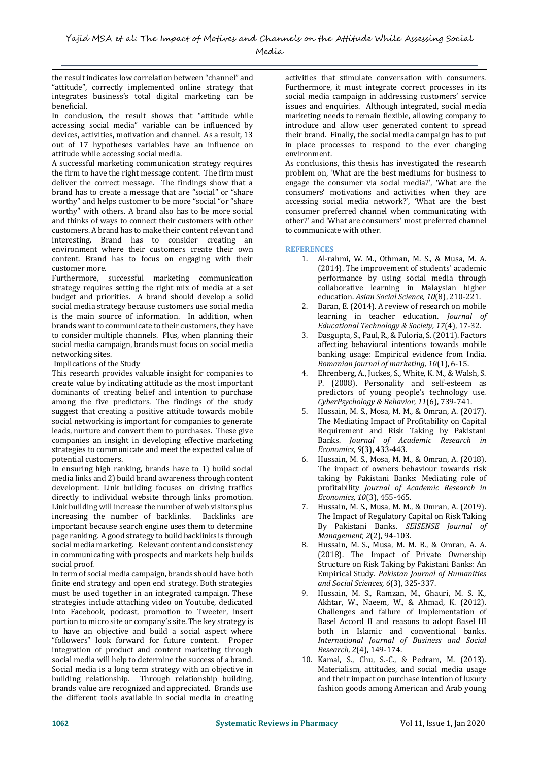the result indicates low correlation between "channel" and "attitude", correctly implemented online strategy that integrates business's total digital marketing can be beneficial.

In conclusion, the result shows that "attitude while accessing social media" variable can be influenced by devices, activities, motivation and channel. As a result, 13 out of 17 hypotheses variables have an influence on attitude while accessing social media.

A successful marketing communication strategy requires the firm to have the right message content. The firm must deliver the correct message. The findings show that a brand has to create a message that are "social" or "share worthy" and helps customer to be more "social "or "share worthy" with others. A brand also has to be more social and thinks of ways to connect their customers with other customers. A brand has to make their content relevant and interesting. Brand has to consider creating an environment where their customers create their own content. Brand has to focus on engaging with their customer more.

Furthermore, successful marketing communication strategy requires setting the right mix of media at a set budget and priorities. A brand should develop a solid social media strategy because customers use social media is the main source of information. In addition, when brands want to communicate to their customers, they have to consider multiple channels. Plus, when planning their social media campaign, brands must focus on social media networking sites.

Implications of the Study

This research provides valuable insight for companies to create value by indicating attitude as the most important dominants of creating belief and intention to purchase among the five predictors. The findings of the study suggest that creating a positive attitude towards mobile social networking is important for companies to generate leads, nurture and convert them to purchases. These give companies an insight in developing effective marketing strategies to communicate and meet the expected value of potential customers.

In ensuring high ranking, brands have to 1) build social media links and 2) build brand awareness through content development. Link building focuses on driving traffics directly to individual website through links promotion. Link building will increase the number of web visitors plus increasing the number of backlinks. Backlinks are important because search engine uses them to determine page ranking. A good strategy to build backlinks is through social media marketing. Relevant content and consistency in communicating with prospects and markets help builds social proof.

In term of social media campaign, brands should have both finite end strategy and open end strategy. Both strategies must be used together in an integrated campaign. These strategies include attaching video on Youtube, dedicated into Facebook, podcast, promotion to Tweeter, insert portion to micro site or company's site. The key strategy is to have an objective and build a social aspect where "followers" look forward for future content. Proper integration of product and content marketing through social media will help to determine the success of a brand. Social media is a long term strategy with an objective in building relationship. Through relationship building, brands value are recognized and appreciated. Brands use the different tools available in social media in creating

activities that stimulate conversation with consumers. Furthermore, it must integrate correct processes in its social media campaign in addressing customers' service issues and enquiries. Although integrated, social media marketing needs to remain flexible, allowing company to introduce and allow user generated content to spread their brand. Finally, the social media campaign has to put in place processes to respond to the ever changing environment.

As conclusions, this thesis has investigated the research problem on, 'What are the best mediums for business to engage the consumer via social media?', 'What are the consumers' motivations and activities when they are accessing social media network?', 'What are the best consumer preferred channel when communicating with other?' and 'What are consumers' most preferred channel to communicate with other.

# **REFERENCES**

- 1. Al-rahmi, W. M., Othman, M. S., & Musa, M. A. (2014). The improvement of students' academic performance by using social media through collaborative learning in Malaysian higher education. *Asian Social Science, 10*(8), 210-221.
- 2. Baran, E. (2014). A review of research on mobile learning in teacher education. *Journal of Educational Technology & Society, 17*(4), 17-32.
- 3. Dasgupta, S., Paul, R., & Fuloria, S. (2011). Factors affecting behavioral intentions towards mobile banking usage: Empirical evidence from India. *Romanian journal of marketing, 10*(1), 6-15.
- 4. Ehrenberg, A., Juckes, S., White, K. M., & Walsh, S. P. (2008). Personality and self-esteem as predictors of young people's technology use. *CyberPsychology & Behavior, 11*(6), 739-741.
- 5. Hussain, M. S., Mosa, M. M., & Omran, A. (2017). The Mediating Impact of Profitability on Capital Requirement and Risk Taking by Pakistani Banks. *Journal of Academic Research in Economics, 9*(3), 433-443.
- 6. Hussain, M. S., Mosa, M. M., & Omran, A. (2018). The impact of owners behaviour towards risk taking by Pakistani Banks: Mediating role of profitability *Journal of Academic Research in Economics, 10*(3), 455-465.
- 7. Hussain, M. S., Musa, M. M., & Omran, A. (2019). The Impact of Regulatory Capital on Risk Taking By Pakistani Banks. *SEISENSE Journal of Management, 2*(2), 94-103.
- 8. Hussain, M. S., Musa, M. M. B., & Omran, A. A. (2018). The Impact of Private Ownership Structure on Risk Taking by Pakistani Banks: An Empirical Study. *Pakistan Journal of Humanities and Social Sciences, 6*(3), 325-337.
- 9. Hussain, M. S., Ramzan, M., Ghauri, M. S. K., Akhtar, W., Naeem, W., & Ahmad, K. (2012). Challenges and failure of Implementation of Basel Accord II and reasons to adopt Basel III both in Islamic and conventional banks. *International Journal of Business and Social Research, 2*(4), 149-174.
- 10. Kamal, S., Chu, S.-C., & Pedram, M. (2013). Materialism, attitudes, and social media usage and their impact on purchase intention of luxury fashion goods among American and Arab young